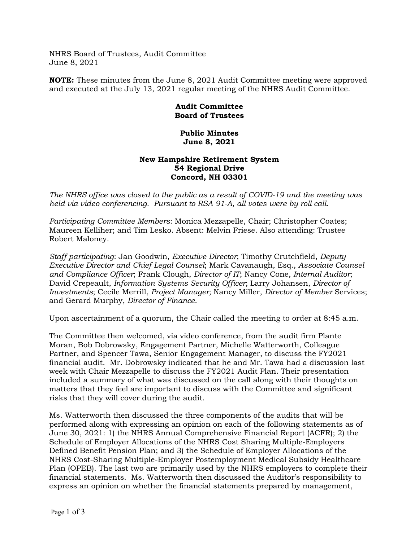NHRS Board of Trustees, Audit Committee June 8, 2021

**NOTE:** These minutes from the June 8, 2021 Audit Committee meeting were approved and executed at the July 13, 2021 regular meeting of the NHRS Audit Committee.

## **Audit Committee Board of Trustees**

## **Public Minutes June 8, 2021**

## **New Hampshire Retirement System 54 Regional Drive Concord, NH 03301**

*The NHRS office was closed to the public as a result of COVID-19 and the meeting was held via video conferencing. Pursuant to RSA 91-A, all votes were by roll call.*

*Participating Committee Members*: Monica Mezzapelle, Chair; Christopher Coates; Maureen Kelliher; and Tim Lesko. Absent: Melvin Friese. Also attending: Trustee Robert Maloney.

*Staff participating*: Jan Goodwin, *Executive Director*; Timothy Crutchfield, *Deputy Executive Director and Chief Legal Counsel*; Mark Cavanaugh, Esq., *Associate Counsel and Compliance Officer*; Frank Clough, *Director of IT*; Nancy Cone, *Internal Auditor*; David Crepeault, *Information Systems Security Officer*; Larry Johansen, *Director of Investments*; Cecile Merrill, *Project Manager;* Nancy Miller, *Director of Member* Services; and Gerard Murphy, *Director of Finance*.

Upon ascertainment of a quorum, the Chair called the meeting to order at 8:45 a.m.

The Committee then welcomed, via video conference, from the audit firm Plante Moran, Bob Dobrowsky, Engagement Partner, Michelle Watterworth, Colleague Partner, and Spencer Tawa, Senior Engagement Manager, to discuss the FY2021 financial audit. Mr. Dobrowsky indicated that he and Mr. Tawa had a discussion last week with Chair Mezzapelle to discuss the FY2021 Audit Plan. Their presentation included a summary of what was discussed on the call along with their thoughts on matters that they feel are important to discuss with the Committee and significant risks that they will cover during the audit.

Ms. Watterworth then discussed the three components of the audits that will be performed along with expressing an opinion on each of the following statements as of June 30, 2021: 1) the NHRS Annual Comprehensive Financial Report (ACFR); 2) the Schedule of Employer Allocations of the NHRS Cost Sharing Multiple-Employers Defined Benefit Pension Plan; and 3) the Schedule of Employer Allocations of the NHRS Cost-Sharing Multiple-Employer Postemployment Medical Subsidy Healthcare Plan (OPEB). The last two are primarily used by the NHRS employers to complete their financial statements. Ms. Watterworth then discussed the Auditor's responsibility to express an opinion on whether the financial statements prepared by management,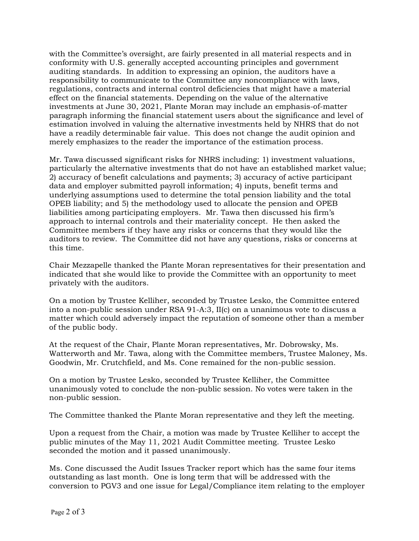with the Committee's oversight, are fairly presented in all material respects and in conformity with U.S. generally accepted accounting principles and government auditing standards. In addition to expressing an opinion, the auditors have a responsibility to communicate to the Committee any noncompliance with laws, regulations, contracts and internal control deficiencies that might have a material effect on the financial statements. Depending on the value of the alternative investments at June 30, 2021, Plante Moran may include an emphasis-of-matter paragraph informing the financial statement users about the significance and level of estimation involved in valuing the alternative investments held by NHRS that do not have a readily determinable fair value. This does not change the audit opinion and merely emphasizes to the reader the importance of the estimation process.

Mr. Tawa discussed significant risks for NHRS including: 1) investment valuations, particularly the alternative investments that do not have an established market value; 2) accuracy of benefit calculations and payments; 3) accuracy of active participant data and employer submitted payroll information; 4) inputs, benefit terms and underlying assumptions used to determine the total pension liability and the total OPEB liability; and 5) the methodology used to allocate the pension and OPEB liabilities among participating employers. Mr. Tawa then discussed his firm's approach to internal controls and their materiality concept. He then asked the Committee members if they have any risks or concerns that they would like the auditors to review.The Committee did not have any questions, risks or concerns at this time.

Chair Mezzapelle thanked the Plante Moran representatives for their presentation and indicated that she would like to provide the Committee with an opportunity to meet privately with the auditors.

On a motion by Trustee Kelliher, seconded by Trustee Lesko, the Committee entered into a non-public session under RSA 91-A:3, II(c) on a unanimous vote to discuss a matter which could adversely impact the reputation of someone other than a member of the public body.

At the request of the Chair, Plante Moran representatives, Mr. Dobrowsky, Ms. Watterworth and Mr. Tawa, along with the Committee members, Trustee Maloney, Ms. Goodwin, Mr. Crutchfield, and Ms. Cone remained for the non-public session.

On a motion by Trustee Lesko, seconded by Trustee Kelliher, the Committee unanimously voted to conclude the non-public session. No votes were taken in the non-public session.

The Committee thanked the Plante Moran representative and they left the meeting.

Upon a request from the Chair, a motion was made by Trustee Kelliher to accept the public minutes of the May 11, 2021 Audit Committee meeting. Trustee Lesko seconded the motion and it passed unanimously.

Ms. Cone discussed the Audit Issues Tracker report which has the same four items outstanding as last month. One is long term that will be addressed with the conversion to PGV3 and one issue for Legal/Compliance item relating to the employer